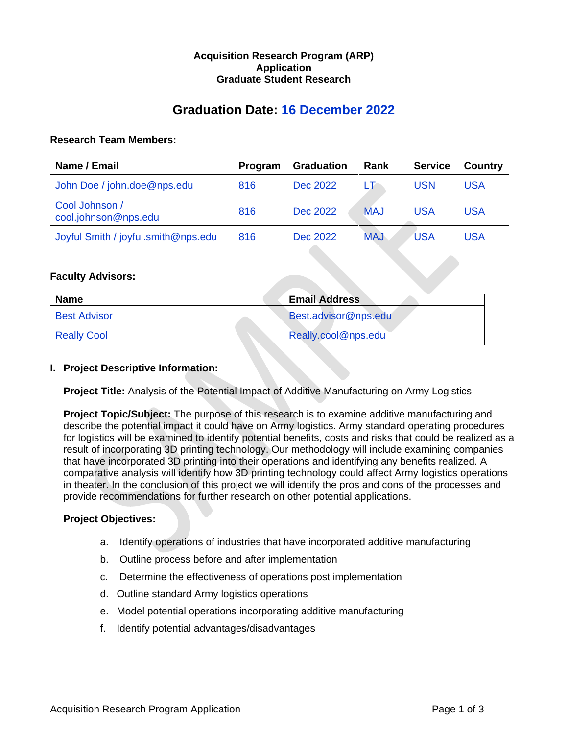# **Acquisition Research Program (ARP) Application Graduate Student Research**

# **Graduation Date: 16 December 2022**

## **Research Team Members:**

| Name / Email                           | Program | <b>Graduation</b> | Rank       | <b>Service</b> | <b>Country</b> |
|----------------------------------------|---------|-------------------|------------|----------------|----------------|
| John Doe / john.doe@nps.edu            | 816     | Dec 2022          | LT         | <b>USN</b>     | <b>USA</b>     |
| Cool Johnson /<br>cool.johnson@nps.edu | 816     | Dec 2022          | <b>MAJ</b> | <b>USA</b>     | <b>USA</b>     |
| Joyful Smith / joyful.smith@nps.edu    | 816     | Dec 2022          | <b>MAJ</b> | <b>USA</b>     | <b>USA</b>     |

# **Faculty Advisors:**

| <b>Name</b>         | <b>Email Address</b> |
|---------------------|----------------------|
| <b>Best Advisor</b> | Best.advisor@nps.edu |
| <b>Really Cool</b>  | Really.cool@nps.edu  |

### **I. Project Descriptive Information:**

**Project Title:** Analysis of the Potential Impact of Additive Manufacturing on Army Logistics

**Project Topic/Subject:** The purpose of this research is to examine additive manufacturing and describe the potential impact it could have on Army logistics. Army standard operating procedures for logistics will be examined to identify potential benefits, costs and risks that could be realized as a result of incorporating 3D printing technology. Our methodology will include examining companies that have incorporated 3D printing into their operations and identifying any benefits realized. A comparative analysis will identify how 3D printing technology could affect Army logistics operations in theater. In the conclusion of this project we will identify the pros and cons of the processes and provide recommendations for further research on other potential applications.

# **Project Objectives:**

- a. Identify operations of industries that have incorporated additive manufacturing
- b. Outline process before and after implementation
- c. Determine the effectiveness of operations post implementation
- d. Outline standard Army logistics operations
- e. Model potential operations incorporating additive manufacturing
- f. Identify potential advantages/disadvantages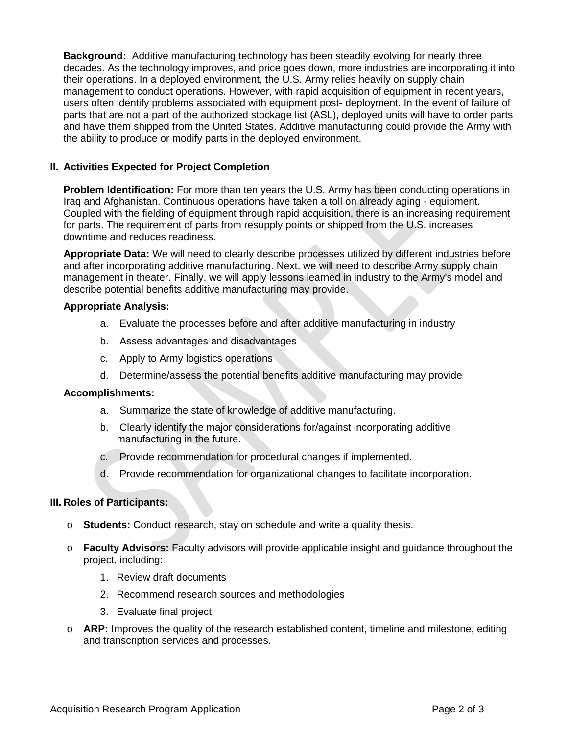**Background:** Additive manufacturing technology has been steadily evolving for nearly three decades. As the technology improves, and price goes down, more industries are incorporating it into their operations. In a deployed environment, the U.S. Army relies heavily on supply chain management to conduct operations. However, with rapid acquisition of equipment in recent years, users often identify problems associated with equipment post- deployment. In the event of failure of parts that are not a part of the authorized stockage list (ASL), deployed units will have to order parts and have them shipped from the United States. Additive manufacturing could provide the Army with the ability to produce or modify parts in the deployed environment.

# **II. Activities Expected for Project Completion**

**Problem Identification:** For more than ten years the U.S. Army has been conducting operations in Iraq and Afghanistan. Continuous operations have taken a toll on already aging · equipment. Coupled with the fielding of equipment through rapid acquisition, there is an increasing requirement for parts. The requirement of parts from resupply points or shipped from the U.S. increases downtime and reduces readiness.

**Appropriate Data:** We will need to clearly describe processes utilized by different industries before and after incorporating additive manufacturing. Next, we will need to describe Army supply chain management in theater. Finally, we will apply lessons learned in industry to the Army's model and describe potential benefits additive manufacturing may provide.

## **Appropriate Analysis:**

- a. Evaluate the processes before and after additive manufacturing in industry
- b. Assess advantages and disadvantages
- c. Apply to Army logistics operations
- d. Determine/assess the potential benefits additive manufacturing may provide

# **Accomplishments:**

- a. Summarize the state of knowledge of additive manufacturing.
- b. Clearly identify the major considerations for/against incorporating additive manufacturing in the future.
- c. Provide recommendation for procedural changes if implemented.
- d. Provide recommendation for organizational changes to facilitate incorporation.

# **III. Roles of Participants:**

- o **Students:** Conduct research, stay on schedule and write a quality thesis.
- o **Faculty Advisors:** Faculty advisors will provide applicable insight and guidance throughout the project, including:
	- 1. Review draft documents
	- 2. Recommend research sources and methodologies
	- 3. Evaluate final project
- o **ARP:** Improves the quality of the research established content, timeline and milestone, editing and transcription services and processes.